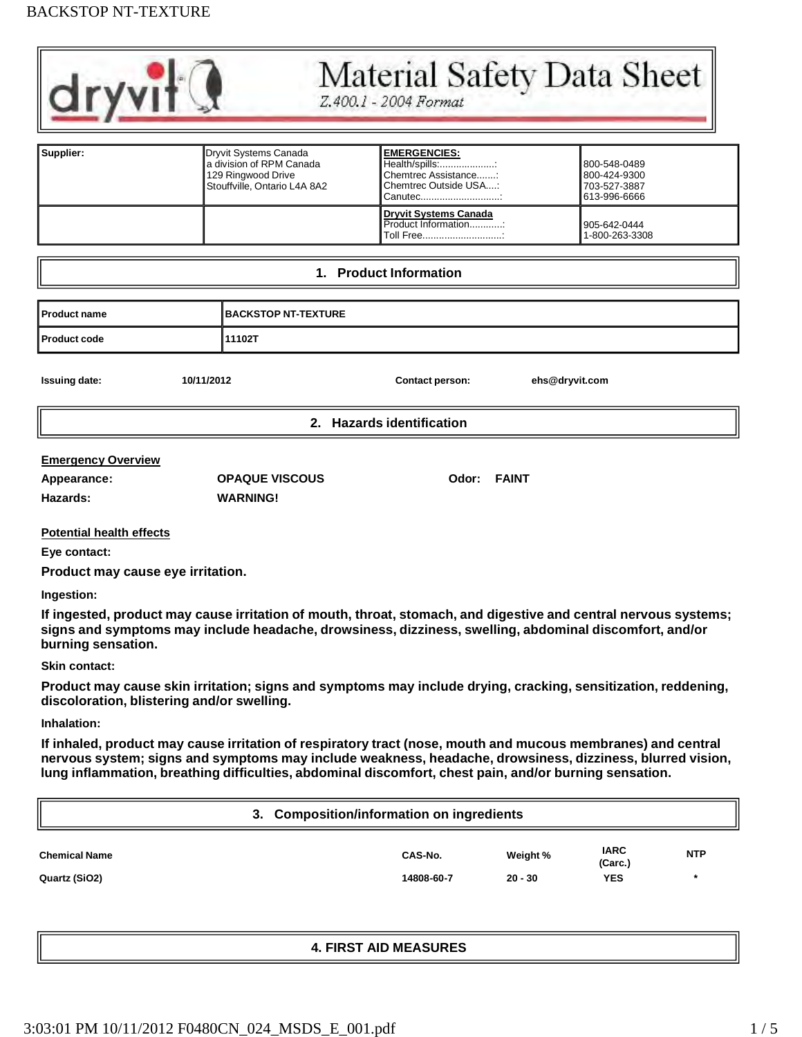# BACKSTOP NT-TEXTURE



# **Material Safety Data Sheet**

**Appearance: OPAQUE VISCOUS Odor: FAINT**

Z.400.1 - 2004 Format

| Supplier: | <b>IDrvvit Systems Canada</b><br>a division of RPM Canada<br>129 Ringwood Drive<br>Stouffville. Ontario L4A 8A2 | <b>EMERGENCIES:</b><br>Health/spills:<br>Chemtrec Assistance:<br>Chemtrec Outside USA<br>. Canutec: | 800-548-0489<br>800-424-9300<br>703-527-3887<br>613-996-6666 |
|-----------|-----------------------------------------------------------------------------------------------------------------|-----------------------------------------------------------------------------------------------------|--------------------------------------------------------------|
|           |                                                                                                                 | <b>Dryvit Systems Canada</b><br>Product Information:<br>Toll Free                                   | 905-642-0444<br>1-800-263-3308                               |

# **1. Product Information**

| <b>I</b> Product name | <b>IBACKSTOP NT-TEXTURE</b> |
|-----------------------|-----------------------------|
| <b>I</b> Product code | 11102T                      |
|                       |                             |

**Issuing date: 10/11/2012 Contact person: [ehs@dryvit.com](mailto:ehs@dryvit.com) 2. Hazards identification**

## **Emergency Overview**

| Appearance: | <b>OPAQUE VISCOUS</b> |
|-------------|-----------------------|
| Hazards:    | <b>WARNING!</b>       |

# **Potential health effects**

**Eye contact:**

**Product may cause eye irritation.**

**Ingestion:**

**If ingested, product may cause irritation of mouth, throat, stomach, and digestive and central nervous systems; signs and symptoms may include headache, drowsiness, dizziness, swelling, abdominal discomfort, and/or burning sensation.**

# **Skin contact:**

**Product may cause skin irritation; signs and symptoms may include drying, cracking, sensitization, reddening, discoloration, blistering and/or swelling.**

# **Inhalation:**

**If inhaled, product may cause irritation of respiratory tract (nose, mouth and mucous membranes) and central nervous system; signs and symptoms may include weakness, headache, drowsiness, dizziness, blurred vision, lung inflammation, breathing difficulties, abdominal discomfort, chest pain, and/or burning sensation.**

| 3. Composition/information on ingredients |            |           |                        |            |
|-------------------------------------------|------------|-----------|------------------------|------------|
| <b>Chemical Name</b>                      | CAS-No.    | Weight %  | <b>IARC</b><br>(Carc.) | <b>NTP</b> |
| Quartz (SiO2)                             | 14808-60-7 | $20 - 30$ | <b>YES</b>             | $\star$    |

# **4. FIRST AID MEASURES**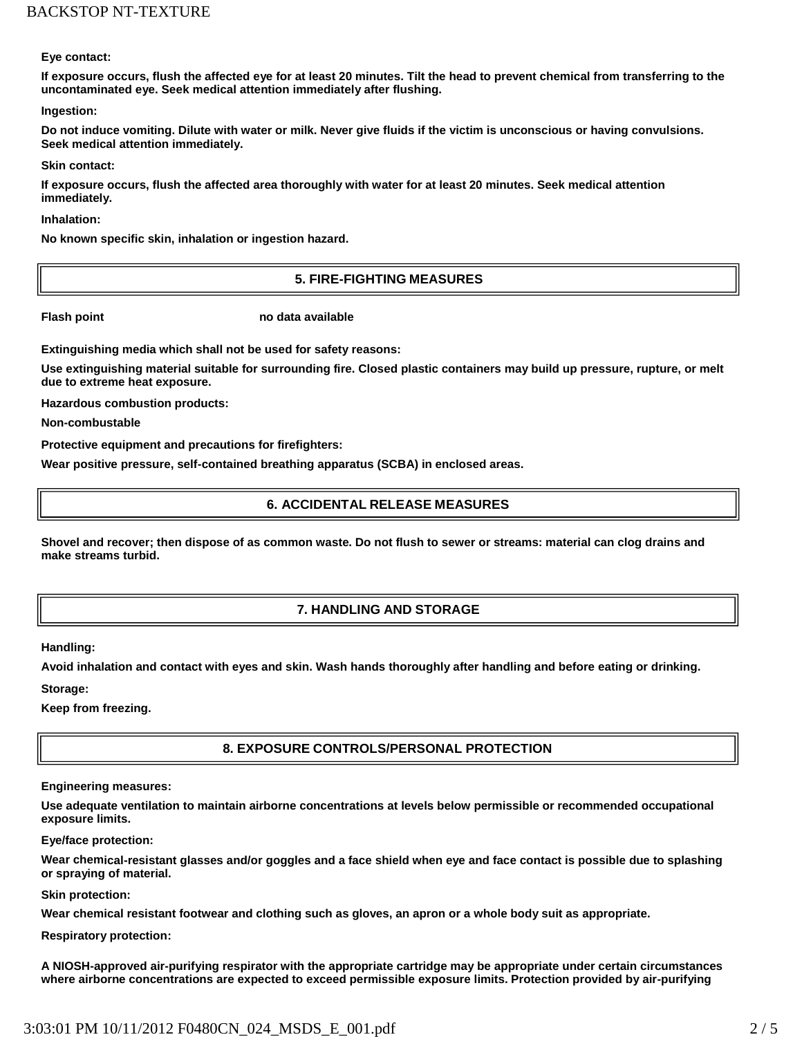**Eye contact:**

**If exposure occurs, flush the affected eye for at least 20 minutes. Tilt the head to prevent chemical from transferring to the uncontaminated eye. Seek medical attention immediately after flushing.**

**Ingestion:**

**Do not induce vomiting. Dilute with water or milk. Never give fluids if the victim is unconscious or having convulsions. Seek medical attention immediately.**

**Skin contact:**

**If exposure occurs, flush the affected area thoroughly with water for at least 20 minutes. Seek medical attention immediately.**

**Inhalation:**

**No known specific skin, inhalation or ingestion hazard.**

# **5. FIRE-FIGHTING MEASURES**

**Flash point no data available**

**Extinguishing media which shall not be used for safety reasons:**

**Use extinguishing material suitable for surrounding fire. Closed plastic containers may build up pressure, rupture, or melt due to extreme heat exposure.**

**Hazardous combustion products:** 

**Non-combustable**

**Protective equipment and precautions for firefighters:**

**Wear positive pressure, self-contained breathing apparatus (SCBA) in enclosed areas.**

# **6. ACCIDENTAL RELEASE MEASURES**

**Shovel and recover; then dispose of as common waste. Do not flush to sewer or streams: material can clog drains and make streams turbid.**

# **7. HANDLING AND STORAGE**

**Handling:**

**Avoid inhalation and contact with eyes and skin. Wash hands thoroughly after handling and before eating or drinking.** 

**Storage:**

**Keep from freezing.**

# **8. EXPOSURE CONTROLS/PERSONAL PROTECTION**

#### **Engineering measures:**

**Use adequate ventilation to maintain airborne concentrations at levels below permissible or recommended occupational exposure limits.**

**Eye/face protection:**

**Wear chemical-resistant glasses and/or goggles and a face shield when eye and face contact is possible due to splashing or spraying of material.**

**Skin protection:**

**Wear chemical resistant footwear and clothing such as gloves, an apron or a whole body suit as appropriate.** 

**Respiratory protection:**

**A NIOSH-approved air-purifying respirator with the appropriate cartridge may be appropriate under certain circumstances where airborne concentrations are expected to exceed permissible exposure limits. Protection provided by air-purifying**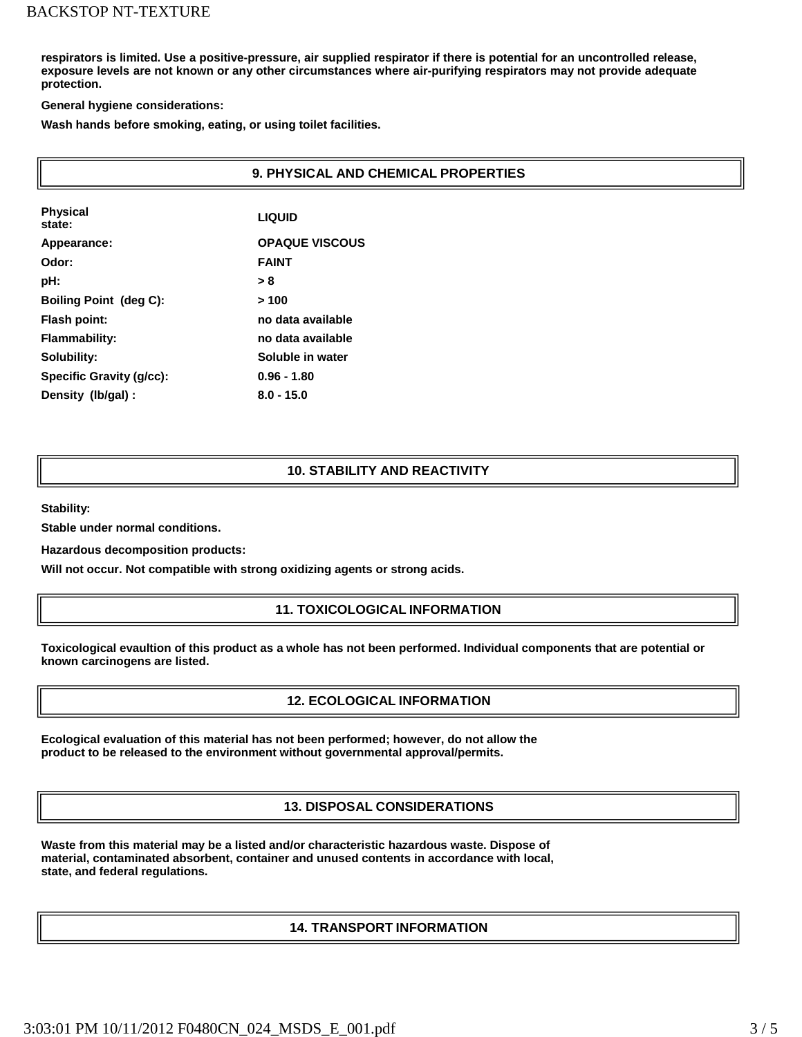**respirators is limited. Use a positive-pressure, air supplied respirator if there is potential for an uncontrolled release, exposure levels are not known or any other circumstances where air-purifying respirators may not provide adequate protection.**

**General hygiene considerations:**

**Wash hands before smoking, eating, or using toilet facilities.**

| <b>9. PHYSICAL AND CHEMICAL PROPERTIES</b> |                       |  |
|--------------------------------------------|-----------------------|--|
| <b>Physical</b><br>state:                  | <b>LIQUID</b>         |  |
| Appearance:                                | <b>OPAQUE VISCOUS</b> |  |
| Odor:                                      | <b>FAINT</b>          |  |
| pH:                                        | > 8                   |  |
| <b>Boiling Point (deg C):</b>              | >100                  |  |
| Flash point:                               | no data available     |  |
| <b>Flammability:</b>                       | no data available     |  |
| Solubility:                                | Soluble in water      |  |
| Specific Gravity (g/cc):                   | $0.96 - 1.80$         |  |
| Density (lb/gal) :                         | $8.0 - 15.0$          |  |

# **10. STABILITY AND REACTIVITY**

**Stability:**

**Stable under normal conditions.** 

**Hazardous decomposition products:**

**Will not occur. Not compatible with strong oxidizing agents or strong acids.**

# **11. TOXICOLOGICAL INFORMATION**

**Toxicological evaultion of this product as a whole has not been performed. Individual components that are potential or known carcinogens are listed.**

# **12. ECOLOGICAL INFORMATION**

**Ecological evaluation of this material has not been performed; however, do not allow the product to be released to the environment without governmental approval/permits.**

# **13. DISPOSAL CONSIDERATIONS**

**Waste from this material may be a listed and/or characteristic hazardous waste. Dispose of material, contaminated absorbent, container and unused contents in accordance with local, state, and federal regulations.**

# **14. TRANSPORT INFORMATION**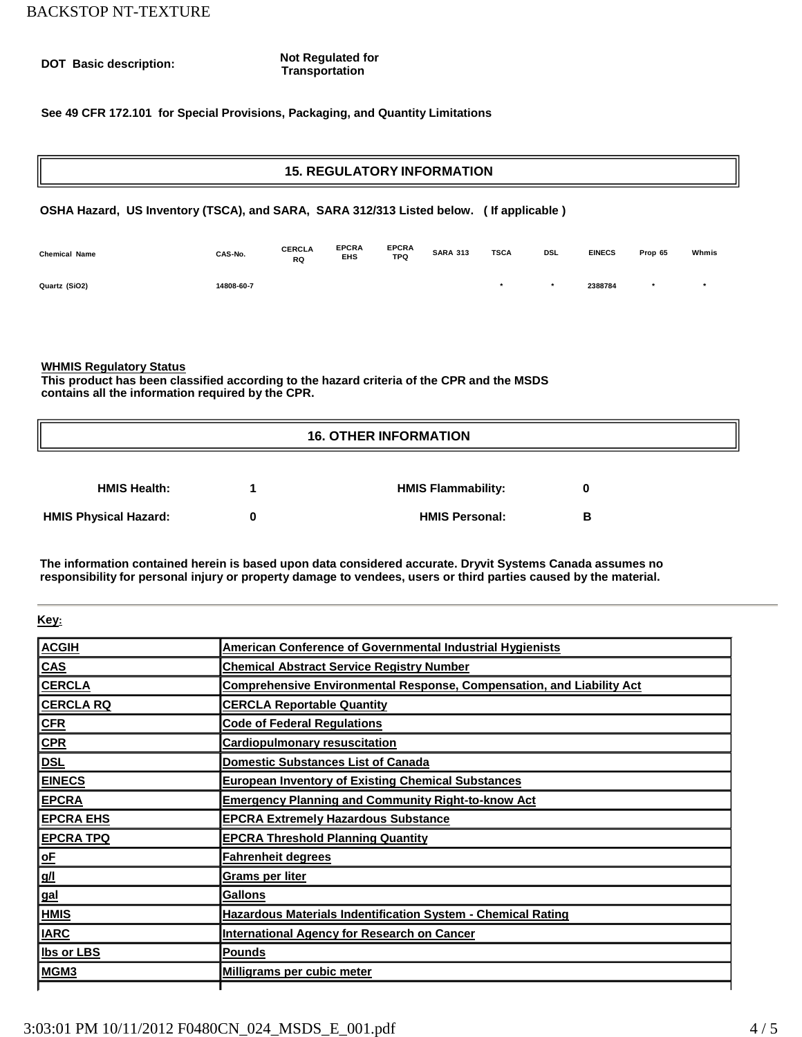#### **DOT Basic description: Not Regulated for**<br> **COT Basic description:** Transportation **Transportation**

**See 49 CFR 172.101 for Special Provisions, Packaging, and Quantity Limitations**

## **15. REGULATORY INFORMATION**

#### **OSHA Hazard, US Inventory (TSCA), and SARA, SARA 312/313 Listed below. ( If applicable )**

| <b>Chemical Name</b> | CAS-No.    | <b>CERCLA</b><br><b>RQ</b> | <b>EPCRA</b><br>EHS | <b>EPCRA</b><br>TPQ | <b>SARA 313</b> | <b>TSCA</b> | DSL | <b>EINECS</b> | Prop 65 | Whmis |
|----------------------|------------|----------------------------|---------------------|---------------------|-----------------|-------------|-----|---------------|---------|-------|
| Quartz (SiO2)        | 14808-60-7 |                            |                     |                     |                 | $\star$     | *   | 2388784       |         |       |

#### **WHMIS Regulatory Status**

**This product has been classified according to the hazard criteria of the CPR and the MSDS contains all the information required by the CPR.**

### **16. OTHER INFORMATION**

| <b>HMIS Health:</b>          | <b>HMIS Flammability:</b> |   |
|------------------------------|---------------------------|---|
| <b>HMIS Physical Hazard:</b> | <b>HMIS Personal:</b>     | в |

**The information contained herein is based upon data considered accurate. Dryvit Systems Canada assumes no responsibility for personal injury or property damage to vendees, users or third parties caused by the material.**

| . . | × |  |
|-----|---|--|
|     |   |  |
|     |   |  |

| <b>ACGIH</b>                                      | American Conference of Governmental Industrial Hygienists                     |
|---------------------------------------------------|-------------------------------------------------------------------------------|
| <b>CAS</b>                                        | Chemical Abstract Service Registry Number                                     |
| <b>CERCLA</b>                                     | <u> Comprehensive Environmental Response, Compensation, and Liability Act</u> |
| <b>CERCLA RQ</b>                                  | <b>CERCLA Reportable Quantity</b>                                             |
| CFR                                               | Code of Federal Requlations                                                   |
| <u>CPR</u>                                        | Cardiopulmonary resuscitation                                                 |
| $DSL$                                             | <b>Domestic Substances List of Canada</b>                                     |
| <b>EINECS</b>                                     | European Inventory of Existing Chemical Substances                            |
| <b>EPCRA</b>                                      | <b>Emergency Planning and Community Right-to-know Act</b>                     |
| <b>EPCRA EHS</b>                                  | <b>EPCRA Extremely Hazardous Substance</b>                                    |
| <b>EPCRA TPQ</b>                                  | <b>EPCRA Threshold Planning Quantity</b>                                      |
| $\underline{\mathsf{o}}$ $\underline{\mathsf{E}}$ | <b>Fahrenheit degrees</b>                                                     |
| <u>g/l</u>                                        | Grams per liter                                                               |
| <u>gal</u>                                        | <b>Gallons</b>                                                                |
| <b>HMIS</b>                                       | Hazardous Materials Indentification System - Chemical Rating                  |
| <b>IARC</b>                                       | International Agency for Research on Cancer                                   |
| <b>Ibs or LBS</b>                                 | Pounds                                                                        |
| MGM3                                              | Milligrams per cubic meter                                                    |
|                                                   |                                                                               |